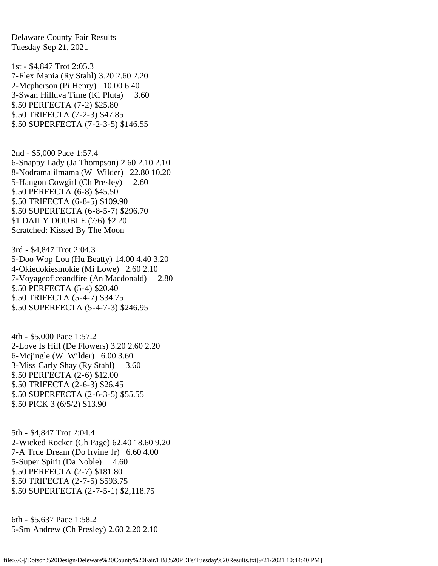Delaware County Fair Results Tuesday Sep 21, 2021

1st - \$4,847 Trot 2:05.3 7-Flex Mania (Ry Stahl) 3.20 2.60 2.20 2-Mcpherson (Pi Henry) 10.00 6.40 3-Swan Hilluva Time (Ki Pluta) 3.60 \$.50 PERFECTA (7-2) \$25.80 \$.50 TRIFECTA (7-2-3) \$47.85 \$.50 SUPERFECTA (7-2-3-5) \$146.55

2nd - \$5,000 Pace 1:57.4 6-Snappy Lady (Ja Thompson) 2.60 2.10 2.10 8-Nodramalilmama (W Wilder) 22.80 10.20 5-Hangon Cowgirl (Ch Presley) 2.60 \$.50 PERFECTA (6-8) \$45.50 \$.50 TRIFECTA (6-8-5) \$109.90 \$.50 SUPERFECTA (6-8-5-7) \$296.70 \$1 DAILY DOUBLE (7/6) \$2.20 Scratched: Kissed By The Moon

3rd - \$4,847 Trot 2:04.3 5-Doo Wop Lou (Hu Beatty) 14.00 4.40 3.20 4-Okiedokiesmokie (Mi Lowe) 2.60 2.10 7-Voyageoficeandfire (An Macdonald) 2.80 \$.50 PERFECTA (5-4) \$20.40 \$.50 TRIFECTA (5-4-7) \$34.75 \$.50 SUPERFECTA (5-4-7-3) \$246.95

4th - \$5,000 Pace 1:57.2 2-Love Is Hill (De Flowers) 3.20 2.60 2.20 6-Mcjingle (W Wilder) 6.00 3.60 3-Miss Carly Shay (Ry Stahl) 3.60 \$.50 PERFECTA (2-6) \$12.00 \$.50 TRIFECTA (2-6-3) \$26.45 \$.50 SUPERFECTA (2-6-3-5) \$55.55 \$.50 PICK 3 (6/5/2) \$13.90

5th - \$4,847 Trot 2:04.4 2-Wicked Rocker (Ch Page) 62.40 18.60 9.20 7-A True Dream (Do Irvine Jr) 6.60 4.00 5-Super Spirit (Da Noble) 4.60 \$.50 PERFECTA (2-7) \$181.80 \$.50 TRIFECTA (2-7-5) \$593.75 \$.50 SUPERFECTA (2-7-5-1) \$2,118.75

6th - \$5,637 Pace 1:58.2 5-Sm Andrew (Ch Presley) 2.60 2.20 2.10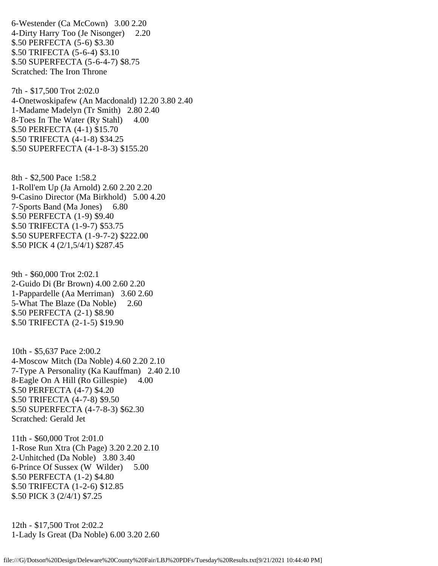6-Westender (Ca McCown) 3.00 2.20 4-Dirty Harry Too (Je Nisonger) 2.20 \$.50 PERFECTA (5-6) \$3.30 \$.50 TRIFECTA (5-6-4) \$3.10 \$.50 SUPERFECTA (5-6-4-7) \$8.75 Scratched: The Iron Throne

7th - \$17,500 Trot 2:02.0 4-Onetwoskipafew (An Macdonald) 12.20 3.80 2.40 1-Madame Madelyn (Tr Smith) 2.80 2.40 8-Toes In The Water (Ry Stahl) 4.00 \$.50 PERFECTA (4-1) \$15.70 \$.50 TRIFECTA (4-1-8) \$34.25 \$.50 SUPERFECTA (4-1-8-3) \$155.20

8th - \$2,500 Pace 1:58.2 1-Roll'em Up (Ja Arnold) 2.60 2.20 2.20 9-Casino Director (Ma Birkhold) 5.00 4.20 7-Sports Band (Ma Jones) 6.80 \$.50 PERFECTA (1-9) \$9.40 \$.50 TRIFECTA (1-9-7) \$53.75 \$.50 SUPERFECTA (1-9-7-2) \$222.00 \$.50 PICK 4 (2/1,5/4/1) \$287.45

9th - \$60,000 Trot 2:02.1 2-Guido Di (Br Brown) 4.00 2.60 2.20 1-Pappardelle (Aa Merriman) 3.60 2.60 5-What The Blaze (Da Noble) 2.60 \$.50 PERFECTA (2-1) \$8.90 \$.50 TRIFECTA (2-1-5) \$19.90

10th - \$5,637 Pace 2:00.2 4-Moscow Mitch (Da Noble) 4.60 2.20 2.10 7-Type A Personality (Ka Kauffman) 2.40 2.10 8-Eagle On A Hill (Ro Gillespie) 4.00 \$.50 PERFECTA (4-7) \$4.20 \$.50 TRIFECTA (4-7-8) \$9.50 \$.50 SUPERFECTA (4-7-8-3) \$62.30 Scratched: Gerald Jet

11th - \$60,000 Trot 2:01.0 1-Rose Run Xtra (Ch Page) 3.20 2.20 2.10 2-Unhitched (Da Noble) 3.80 3.40 6-Prince Of Sussex (W Wilder) 5.00 \$.50 PERFECTA (1-2) \$4.80 \$.50 TRIFECTA (1-2-6) \$12.85 \$.50 PICK 3 (2/4/1) \$7.25

12th - \$17,500 Trot 2:02.2 1-Lady Is Great (Da Noble) 6.00 3.20 2.60